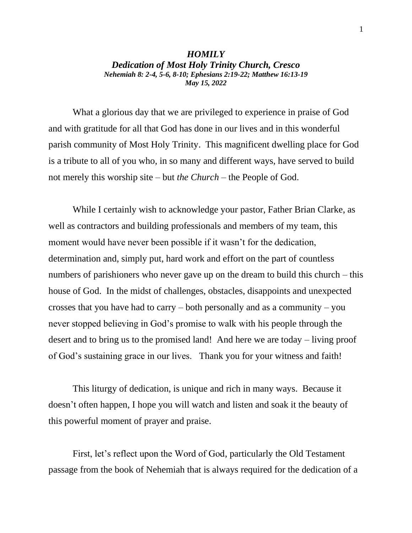## *HOMILY Dedication of Most Holy Trinity Church, Cresco Nehemiah 8: 2-4, 5-6, 8-10; Ephesians 2:19-22; Matthew 16:13-19 May 15, 2022*

What a glorious day that we are privileged to experience in praise of God and with gratitude for all that God has done in our lives and in this wonderful parish community of Most Holy Trinity. This magnificent dwelling place for God is a tribute to all of you who, in so many and different ways, have served to build not merely this worship site – but *the Church* – the People of God.

While I certainly wish to acknowledge your pastor, Father Brian Clarke, as well as contractors and building professionals and members of my team, this moment would have never been possible if it wasn't for the dedication, determination and, simply put, hard work and effort on the part of countless numbers of parishioners who never gave up on the dream to build this church – this house of God. In the midst of challenges, obstacles, disappoints and unexpected crosses that you have had to carry – both personally and as a community – you never stopped believing in God's promise to walk with his people through the desert and to bring us to the promised land! And here we are today – living proof of God's sustaining grace in our lives. Thank you for your witness and faith!

This liturgy of dedication, is unique and rich in many ways. Because it doesn't often happen, I hope you will watch and listen and soak it the beauty of this powerful moment of prayer and praise.

First, let's reflect upon the Word of God, particularly the Old Testament passage from the book of Nehemiah that is always required for the dedication of a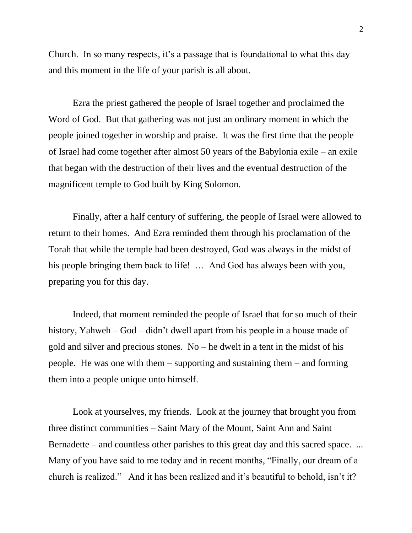Church. In so many respects, it's a passage that is foundational to what this day and this moment in the life of your parish is all about.

Ezra the priest gathered the people of Israel together and proclaimed the Word of God. But that gathering was not just an ordinary moment in which the people joined together in worship and praise. It was the first time that the people of Israel had come together after almost 50 years of the Babylonia exile – an exile that began with the destruction of their lives and the eventual destruction of the magnificent temple to God built by King Solomon.

Finally, after a half century of suffering, the people of Israel were allowed to return to their homes. And Ezra reminded them through his proclamation of the Torah that while the temple had been destroyed, God was always in the midst of his people bringing them back to life! … And God has always been with you, preparing you for this day.

Indeed, that moment reminded the people of Israel that for so much of their history, Yahweh – God – didn't dwell apart from his people in a house made of gold and silver and precious stones. No – he dwelt in a tent in the midst of his people. He was one with them – supporting and sustaining them – and forming them into a people unique unto himself.

Look at yourselves, my friends. Look at the journey that brought you from three distinct communities – Saint Mary of the Mount, Saint Ann and Saint Bernadette – and countless other parishes to this great day and this sacred space. ... Many of you have said to me today and in recent months, "Finally, our dream of a church is realized." And it has been realized and it's beautiful to behold, isn't it?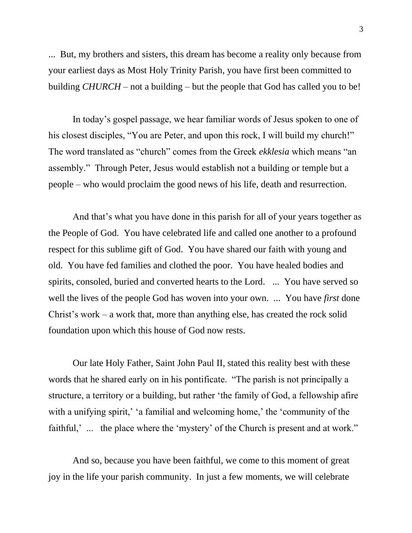... But, my brothers and sisters, this dream has become a reality only because from your earliest days as Most Holy Trinity Parish, you have first been committed to building *CHURCH* – not a building – but the people that God has called you to be!

In today's gospel passage, we hear familiar words of Jesus spoken to one of his closest disciples, "You are Peter, and upon this rock, I will build my church!" The word translated as "church" comes from the Greek *ekklesia* which means "an assembly." Through Peter, Jesus would establish not a building or temple but a people – who would proclaim the good news of his life, death and resurrection*.*

 And that's what you have done in this parish for all of your years together as the People of God. You have celebrated life and called one another to a profound respect for this sublime gift of God. You have shared our faith with young and old. You have fed families and clothed the poor. You have healed bodies and spirits, consoled, buried and converted hearts to the Lord. ... You have served so well the lives of the people God has woven into your own. ... You have *first* done Christ's work – a work that, more than anything else, has created the rock solid foundation upon which this house of God now rests.

Our late Holy Father, Saint John Paul II, stated this reality best with these words that he shared early on in his pontificate. "The parish is not principally a structure, a territory or a building, but rather 'the family of God, a fellowship afire with a unifying spirit,' 'a familial and welcoming home,' the 'community of the faithful,' ... the place where the 'mystery' of the Church is present and at work."

And so, because you have been faithful, we come to this moment of great joy in the life your parish community. In just a few moments, we will celebrate